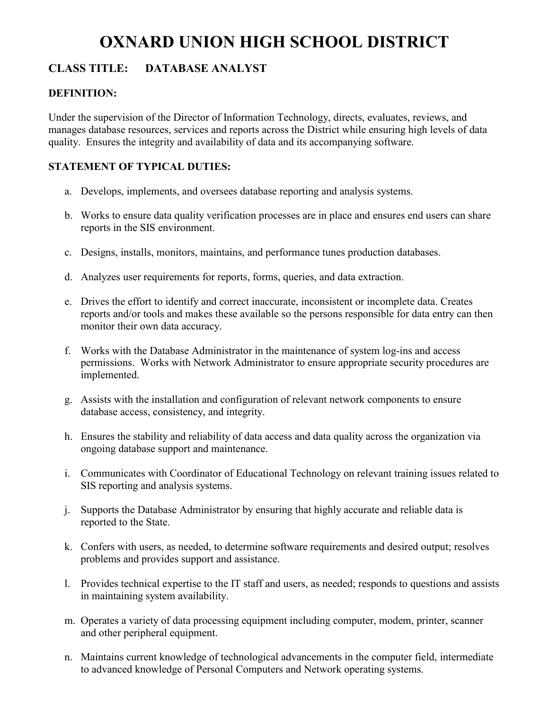# **OXNARD UNION HIGH SCHOOL DISTRICT**

# **CLASS TITLE: DATABASE ANALYST**

# **DEFINITION:**

Under the supervision of the Director of Information Technology, directs, evaluates, reviews, and manages database resources, services and reports across the District while ensuring high levels of data quality. Ensures the integrity and availability of data and its accompanying software.

# **STATEMENT OF TYPICAL DUTIES:**

- a. Develops, implements, and oversees database reporting and analysis systems.
- b. Works to ensure data quality verification processes are in place and ensures end users can share reports in the SIS environment.
- c. Designs, installs, monitors, maintains, and performance tunes production databases.
- d. Analyzes user requirements for reports, forms, queries, and data extraction.
- e. Drives the effort to identify and correct inaccurate, inconsistent or incomplete data. Creates reports and/or tools and makes these available so the persons responsible for data entry can then monitor their own data accuracy.
- f. Works with the Database Administrator in the maintenance of system log-ins and access permissions. Works with Network Administrator to ensure appropriate security procedures are implemented.
- g. Assists with the installation and configuration of relevant network components to ensure database access, consistency, and integrity.
- h. Ensures the stability and reliability of data access and data quality across the organization via ongoing database support and maintenance.
- i. Communicates with Coordinator of Educational Technology on relevant training issues related to SIS reporting and analysis systems.
- j. Supports the Database Administrator by ensuring that highly accurate and reliable data is reported to the State.
- k. Confers with users, as needed, to determine software requirements and desired output; resolves problems and provides support and assistance.
- l. Provides technical expertise to the IT staff and users, as needed; responds to questions and assists in maintaining system availability.
- m. Operates a variety of data processing equipment including computer, modem, printer, scanner and other peripheral equipment.
- n. Maintains current knowledge of technological advancements in the computer field, intermediate to advanced knowledge of Personal Computers and Network operating systems.